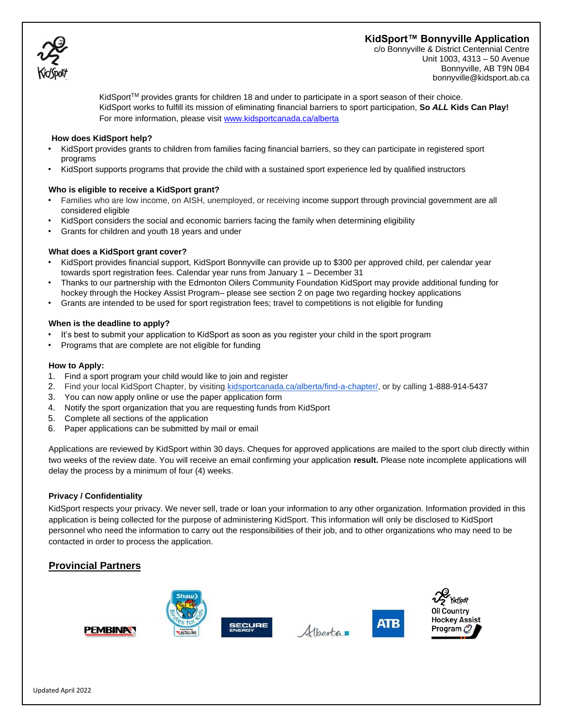# **KidSport™ Bonnyville Application**



c/o Bonnyville & District Centennial Centre Unit 1003, 4313 – 50 Avenue Bonnyville, AB T9N 0B4 bonnyville@kidsport.ab.ca

KidSport<sup>TM</sup> provides grants for children 18 and under to participate in a sport season of their choice. KidSport works to fulfill its mission of eliminating financial barriers to sport participation, **So** *ALL* **Kids Can Play!**  For more information, please visi[t www.kidsportcanada.ca/alberta](file:///G:/2017%20applications/www.kidsportcanada.ca/alberta)

#### **How does KidSport help?**

- KidSport provides grants to children from families facing financial barriers, so they can participate in registered sport programs
- KidSport supports programs that provide the child with a sustained sport experience led by qualified instructors

### **Who is eligible to receive a KidSport grant?**

- Families who are low income, on AISH, unemployed, or receiving income support through provincial government are all considered eligible
- KidSport considers the social and economic barriers facing the family when determining eligibility
- Grants for children and youth 18 years and under

### **What does a KidSport grant cover?**

- KidSport provides financial support, KidSport Bonnyville can provide up to \$300 per approved child, per calendar year towards sport registration fees. Calendar year runs from January 1 – December 31
- Thanks to our partnership with the Edmonton Oilers Community Foundation KidSport may provide additional funding for hockey through the Hockey Assist Program– please see section 2 on page two regarding hockey applications
- Grants are intended to be used for sport registration fees; travel to competitions is not eligible for funding

#### **When is the deadline to apply?**

- It's best to submit your application to KidSport as soon as you register your child in the sport program
- Programs that are complete are not eligible for funding

#### **How to Apply:**

- 1. Find a sport program your child would like to join and register
- 2. Find your local KidSport Chapter, by visiting [kidsportcanada.ca/alberta/find-a-chapter/,](http://kidsportcanada.ca/alberta/find-a-chapter/) or by calling [1-888-914-5437](tel:(888)%20914-5437)
- 3. You can now apply online or use the paper application form
- 4. Notify the sport organization that you are requesting funds from KidSport
- 5. Complete all sections of the application
- 6. Paper applications can be submitted by mail or email

Applications are reviewed by KidSport within 30 days. Cheques for approved applications are mailed to the sport club directly within two weeks of the review date. You will receive an email confirming your application **result.** Please note incomplete applications will delay the process by a minimum of four (4) weeks.

### **Privacy / Confidentiality**

KidSport respects your privacy. We never sell, trade or loan your information to any other organization. Information provided in this application is being collected for the purpose of administering KidSport. This information will only be disclosed to KidSport personnel who need the information to carry out the responsibilities of their job, and to other organizations who may need to be contacted in order to process the application.

## **Provincial Partners**